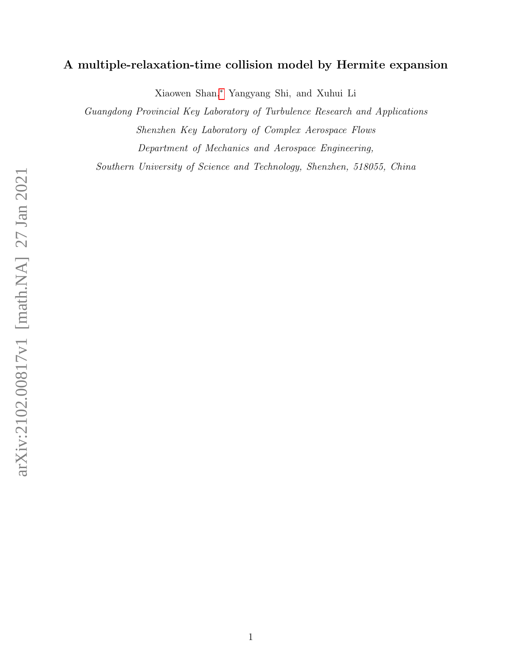# A multiple-relaxation-time collision model by Hermite expansion

Xiaowen Shan,[∗](#page-1-0) Yangyang Shi, and Xuhui Li

Guangdong Provincial Key Laboratory of Turbulence Research and Applications Shenzhen Key Laboratory of Complex Aerospace Flows Department of Mechanics and Aerospace Engineering,

Southern University of Science and Technology, Shenzhen, 518055, China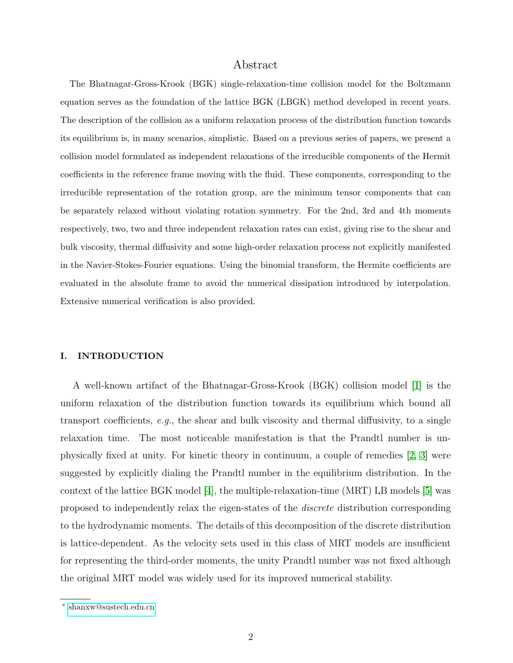# Abstract

The Bhatnagar-Gross-Krook (BGK) single-relaxation-time collision model for the Boltzmann equation serves as the foundation of the lattice BGK (LBGK) method developed in recent years. The description of the collision as a uniform relaxation process of the distribution function towards its equilibrium is, in many scenarios, simplistic. Based on a previous series of papers, we present a collision model formulated as independent relaxations of the irreducible components of the Hermit coefficients in the reference frame moving with the fluid. These components, corresponding to the irreducible representation of the rotation group, are the minimum tensor components that can be separately relaxed without violating rotation symmetry. For the 2nd, 3rd and 4th moments respectively, two, two and three independent relaxation rates can exist, giving rise to the shear and bulk viscosity, thermal diffusivity and some high-order relaxation process not explicitly manifested in the Navier-Stokes-Fourier equations. Using the binomial transform, the Hermite coefficients are evaluated in the absolute frame to avoid the numerical dissipation introduced by interpolation. Extensive numerical verification is also provided.

# I. INTRODUCTION

A well-known artifact of the Bhatnagar-Gross-Krook (BGK) collision model [\[1\]](#page-15-0) is the uniform relaxation of the distribution function towards its equilibrium which bound all transport coefficients,  $e.g.,$  the shear and bulk viscosity and thermal diffusivity, to a single relaxation time. The most noticeable manifestation is that the Prandtl number is unphysically fixed at unity. For kinetic theory in continuum, a couple of remedies [\[2,](#page-15-1) [3\]](#page-15-2) were suggested by explicitly dialing the Prandtl number in the equilibrium distribution. In the context of the lattice BGK model [\[4\]](#page-16-0), the multiple-relaxation-time (MRT) LB models [\[5\]](#page-16-1) was proposed to independently relax the eigen-states of the discrete distribution corresponding to the hydrodynamic moments. The details of this decomposition of the discrete distribution is lattice-dependent. As the velocity sets used in this class of MRT models are insufficient for representing the third-order moments, the unity Prandtl number was not fixed although the original MRT model was widely used for its improved numerical stability.

<span id="page-1-0"></span><sup>∗</sup> [shanxw@sustech.edu.cn](mailto:shanxw@sustech.edu.cn)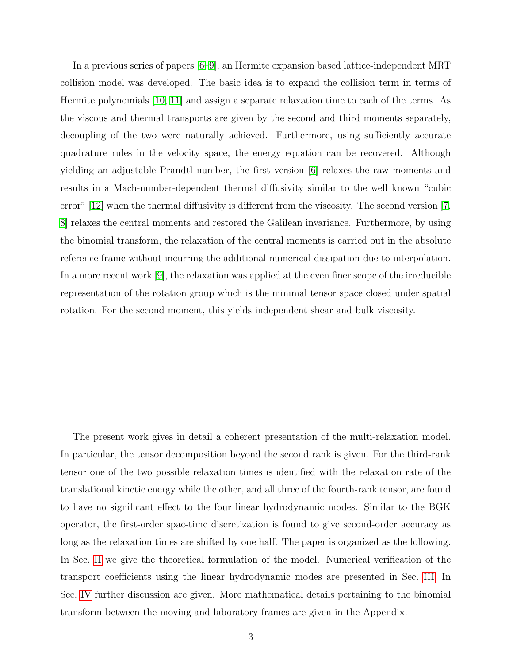In a previous series of papers [\[6–](#page-16-2)[9\]](#page-16-3), an Hermite expansion based lattice-independent MRT collision model was developed. The basic idea is to expand the collision term in terms of Hermite polynomials [\[10,](#page-16-4) [11\]](#page-16-5) and assign a separate relaxation time to each of the terms. As the viscous and thermal transports are given by the second and third moments separately, decoupling of the two were naturally achieved. Furthermore, using sufficiently accurate quadrature rules in the velocity space, the energy equation can be recovered. Although yielding an adjustable Prandtl number, the first version [\[6\]](#page-16-2) relaxes the raw moments and results in a Mach-number-dependent thermal diffusivity similar to the well known "cubic error" [\[12\]](#page-16-6) when the thermal diffusivity is different from the viscosity. The second version [\[7,](#page-16-7) [8\]](#page-16-8) relaxes the central moments and restored the Galilean invariance. Furthermore, by using the binomial transform, the relaxation of the central moments is carried out in the absolute reference frame without incurring the additional numerical dissipation due to interpolation. In a more recent work [\[9\]](#page-16-3), the relaxation was applied at the even finer scope of the irreducible representation of the rotation group which is the minimal tensor space closed under spatial rotation. For the second moment, this yields independent shear and bulk viscosity.

The present work gives in detail a coherent presentation of the multi-relaxation model. In particular, the tensor decomposition beyond the second rank is given. For the third-rank tensor one of the two possible relaxation times is identified with the relaxation rate of the translational kinetic energy while the other, and all three of the fourth-rank tensor, are found to have no significant effect to the four linear hydrodynamic modes. Similar to the BGK operator, the first-order spac-time discretization is found to give second-order accuracy as long as the relaxation times are shifted by one half. The paper is organized as the following. In Sec. [II](#page-3-0) we give the theoretical formulation of the model. Numerical verification of the transport coefficients using the linear hydrodynamic modes are presented in Sec. [III.](#page-8-0) In Sec. [IV](#page-10-0) further discussion are given. More mathematical details pertaining to the binomial transform between the moving and laboratory frames are given in the Appendix.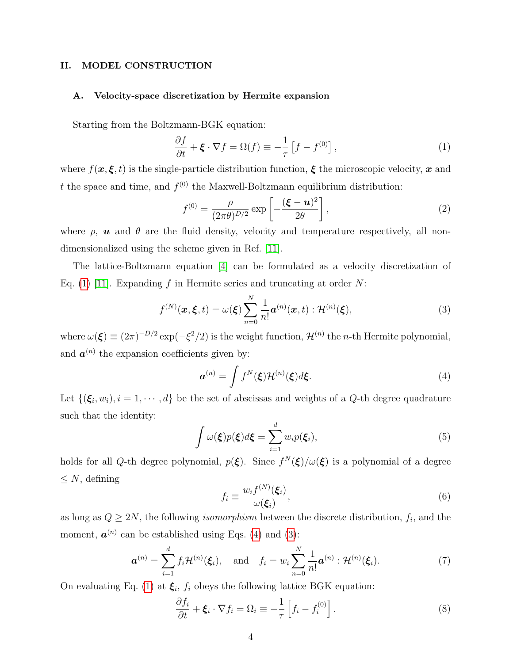# <span id="page-3-0"></span>II. MODEL CONSTRUCTION

# A. Velocity-space discretization by Hermite expansion

Starting from the Boltzmann-BGK equation:

<span id="page-3-1"></span>
$$
\frac{\partial f}{\partial t} + \boldsymbol{\xi} \cdot \nabla f = \Omega(f) \equiv -\frac{1}{\tau} \left[ f - f^{(0)} \right],\tag{1}
$$

where  $f(x, \xi, t)$  is the single-particle distribution function,  $\xi$  the microscopic velocity, x and t the space and time, and  $f^{(0)}$  the Maxwell-Boltzmann equilibrium distribution:

$$
f^{(0)} = \frac{\rho}{(2\pi\theta)^{D/2}} \exp\left[-\frac{(\boldsymbol{\xi} - \boldsymbol{u})^2}{2\theta}\right],
$$
 (2)

where  $\rho$ , **u** and  $\theta$  are the fluid density, velocity and temperature respectively, all nondimensionalized using the scheme given in Ref. [\[11\]](#page-16-5).

The lattice-Boltzmann equation [\[4\]](#page-16-0) can be formulated as a velocity discretization of Eq. [\(1\)](#page-3-1) [\[11\]](#page-16-5). Expanding f in Hermite series and truncating at order  $N$ :

<span id="page-3-3"></span>
$$
f^{(N)}(\boldsymbol{x}, \boldsymbol{\xi}, t) = \omega(\boldsymbol{\xi}) \sum_{n=0}^{N} \frac{1}{n!} \boldsymbol{a}^{(n)}(\boldsymbol{x}, t) : \mathcal{H}^{(n)}(\boldsymbol{\xi}), \tag{3}
$$

where  $\omega(\boldsymbol{\xi}) \equiv (2\pi)^{-D/2} \exp(-\xi^2/2)$  is the weight function,  $\mathcal{H}^{(n)}$  the *n*-th Hermite polynomial, and  $a^{(n)}$  the expansion coefficients given by:

<span id="page-3-2"></span>
$$
\boldsymbol{a}^{(n)} = \int f^N(\boldsymbol{\xi}) \mathcal{H}^{(n)}(\boldsymbol{\xi}) d\boldsymbol{\xi}.
$$
 (4)

Let  $\{(\xi_i, w_i), i = 1, \dots, d\}$  be the set of abscissas and weights of a Q-th degree quadrature such that the identity:

$$
\int \omega(\boldsymbol{\xi}) p(\boldsymbol{\xi}) d\boldsymbol{\xi} = \sum_{i=1}^{d} w_i p(\boldsymbol{\xi}_i), \tag{5}
$$

holds for all Q-th degree polynomial,  $p(\xi)$ . Since  $f^N(\xi)/\omega(\xi)$  is a polynomial of a degree  $\leq N$ , defining

$$
f_i \equiv \frac{w_i f^{(N)}(\xi_i)}{\omega(\xi_i)},\tag{6}
$$

as long as  $Q \ge 2N$ , the following *isomorphism* between the discrete distribution,  $f_i$ , and the moment,  $a^{(n)}$  can be established using Eqs. [\(4\)](#page-3-2) and [\(3\)](#page-3-3):

<span id="page-3-4"></span>
$$
\boldsymbol{a}^{(n)} = \sum_{i=1}^d f_i \mathcal{H}^{(n)}(\boldsymbol{\xi}_i), \quad \text{and} \quad f_i = w_i \sum_{n=0}^N \frac{1}{n!} \boldsymbol{a}^{(n)} : \mathcal{H}^{(n)}(\boldsymbol{\xi}_i). \tag{7}
$$

On evaluating Eq. [\(1\)](#page-3-1) at  $\xi_i$ ,  $f_i$  obeys the following lattice BGK equation:

<span id="page-3-5"></span>
$$
\frac{\partial f_i}{\partial t} + \boldsymbol{\xi}_i \cdot \nabla f_i = \Omega_i \equiv -\frac{1}{\tau} \left[ f_i - f_i^{(0)} \right]. \tag{8}
$$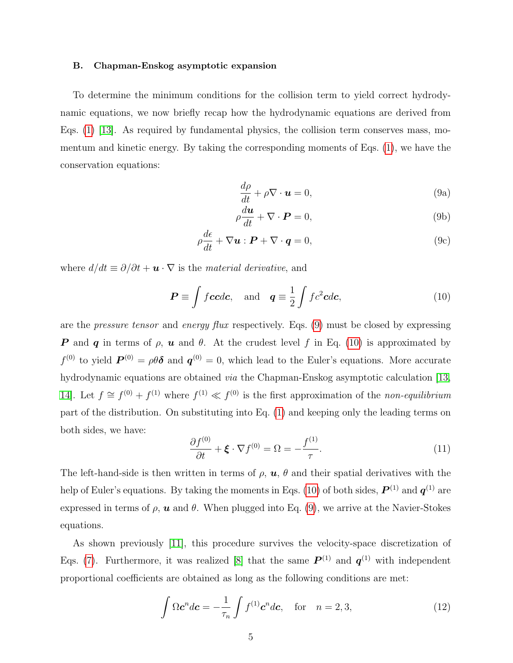#### B. Chapman-Enskog asymptotic expansion

To determine the minimum conditions for the collision term to yield correct hydrodynamic equations, we now briefly recap how the hydrodynamic equations are derived from Eqs. [\(1\)](#page-3-1) [\[13\]](#page-16-9). As required by fundamental physics, the collision term conserves mass, momentum and kinetic energy. By taking the corresponding moments of Eqs. [\(1\)](#page-3-1), we have the conservation equations:

<span id="page-4-0"></span>
$$
\frac{d\rho}{dt} + \rho \nabla \cdot \mathbf{u} = 0, \tag{9a}
$$

$$
\rho \frac{d\boldsymbol{u}}{dt} + \nabla \cdot \boldsymbol{P} = 0, \qquad (9b)
$$

$$
\rho \frac{d\epsilon}{dt} + \nabla \mathbf{u} : \mathbf{P} + \nabla \cdot \mathbf{q} = 0,
$$
\n(9c)

where  $d/dt \equiv \partial/\partial t + \mathbf{u} \cdot \nabla$  is the material derivative, and

<span id="page-4-1"></span>
$$
\boldsymbol{P} \equiv \int f \boldsymbol{c} c d\boldsymbol{c}, \text{ and } \boldsymbol{q} \equiv \frac{1}{2} \int f c^2 \boldsymbol{c} d\boldsymbol{c}, \tag{10}
$$

are the pressure tensor and energy flux respectively. Eqs. [\(9\)](#page-4-0) must be closed by expressing **P** and **q** in terms of  $\rho$ , **u** and  $\theta$ . At the crudest level f in Eq. [\(10\)](#page-4-1) is approximated by  $f^{(0)}$  to yield  $\boldsymbol{P}^{(0)} = \rho \theta \boldsymbol{\delta}$  and  $\boldsymbol{q}^{(0)} = 0$ , which lead to the Euler's equations. More accurate hydrodynamic equations are obtained *via* the Chapman-Enskog asymptotic calculation [\[13,](#page-16-9) [14\]](#page-16-10). Let  $f \cong f^{(0)} + f^{(1)}$  where  $f^{(1)} \ll f^{(0)}$  is the first approximation of the non-equilibrium part of the distribution. On substituting into Eq. [\(1\)](#page-3-1) and keeping only the leading terms on both sides, we have:

$$
\frac{\partial f^{(0)}}{\partial t} + \boldsymbol{\xi} \cdot \nabla f^{(0)} = \Omega = -\frac{f^{(1)}}{\tau}.
$$
\n(11)

The left-hand-side is then written in terms of  $\rho$ ,  $\boldsymbol{u}$ ,  $\theta$  and their spatial derivatives with the help of Euler's equations. By taking the moments in Eqs. [\(10\)](#page-4-1) of both sides,  $\bm{P}^{(1)}$  and  $\bm{q}^{(1)}$  are expressed in terms of  $\rho$ ,  $\boldsymbol{u}$  and  $\theta$ . When plugged into Eq. [\(9\)](#page-4-0), we arrive at the Navier-Stokes equations.

As shown previously [\[11\]](#page-16-5), this procedure survives the velocity-space discretization of Eqs. [\(7\)](#page-3-4). Furthermore, it was realized [\[8\]](#page-16-8) that the same  $P^{(1)}$  and  $q^{(1)}$  with independent proportional coefficients are obtained as long as the following conditions are met:

<span id="page-4-2"></span>
$$
\int \Omega \mathbf{c}^n d\mathbf{c} = -\frac{1}{\tau_n} \int f^{(1)} \mathbf{c}^n d\mathbf{c}, \quad \text{for} \quad n = 2, 3,
$$
\n(12)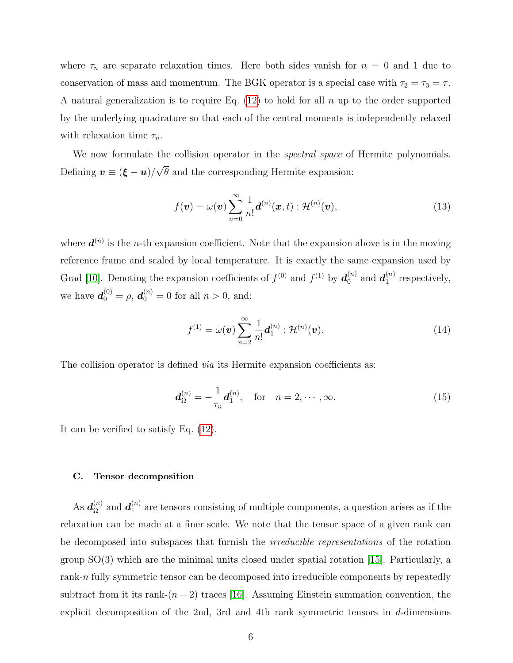where  $\tau_n$  are separate relaxation times. Here both sides vanish for  $n = 0$  and 1 due to conservation of mass and momentum. The BGK operator is a special case with  $\tau_2 = \tau_3 = \tau$ . A natural generalization is to require Eq.  $(12)$  to hold for all n up to the order supported by the underlying quadrature so that each of the central moments is independently relaxed with relaxation time  $\tau_n$ .

We now formulate the collision operator in the *spectral space* of Hermite polynomials. Defining  $\bm{v} \equiv (\bm{\xi} - \bm{u})/2$ √  $\theta$  and the corresponding Hermite expansion:

$$
f(\boldsymbol{v}) = \omega(\boldsymbol{v}) \sum_{n=0}^{\infty} \frac{1}{n!} \boldsymbol{d}^{(n)}(\boldsymbol{x}, t) : \mathcal{H}^{(n)}(\boldsymbol{v}),
$$
\n(13)

where  $\boldsymbol{d}^{(n)}$  is the *n*-th expansion coefficient. Note that the expansion above is in the moving reference frame and scaled by local temperature. It is exactly the same expansion used by Grad [\[10\]](#page-16-4). Denoting the expansion coefficients of  $f^{(0)}$  and  $f^{(1)}$  by  $d_0^{(n)}$  $\boldsymbol{d}_{1}^{\left( n\right) }$  and  $\boldsymbol{d}_{1}^{\left( n\right) }$  $i^{(n)}_1$  respectively, we have  $d_0^{(0)} = \rho, d_0^{(n)} = 0$  for all  $n > 0$ , and:

$$
f^{(1)} = \omega(\boldsymbol{v}) \sum_{n=2}^{\infty} \frac{1}{n!} \boldsymbol{d}_1^{(n)} : \mathcal{H}^{(n)}(\boldsymbol{v}).
$$
 (14)

The collision operator is defined *via* its Hermite expansion coefficients as:

<span id="page-5-0"></span>
$$
\boldsymbol{d}_{\Omega}^{(n)} = -\frac{1}{\tau_n} \boldsymbol{d}_1^{(n)}, \quad \text{for} \quad n = 2, \cdots, \infty.
$$
 (15)

It can be verified to satisfy Eq. [\(12\)](#page-4-2).

### C. Tensor decomposition

As  $\bm{d}_{\Omega}^{(n)}$  $\boldsymbol{a}_{\Omega}^{\left( n\right) }$  and  $\boldsymbol{d}_{1}^{\left( n\right) }$  $n_1^{(n)}$  are tensors consisting of multiple components, a question arises as if the relaxation can be made at a finer scale. We note that the tensor space of a given rank can be decomposed into subspaces that furnish the irreducible representations of the rotation group  $SO(3)$  which are the minimal units closed under spatial rotation [\[15\]](#page-16-11). Particularly, a rank-n fully symmetric tensor can be decomposed into irreducible components by repeatedly subtract from it its rank- $(n-2)$  traces [\[16\]](#page-16-12). Assuming Einstein summation convention, the explicit decomposition of the 2nd, 3rd and 4th rank symmetric tensors in d-dimensions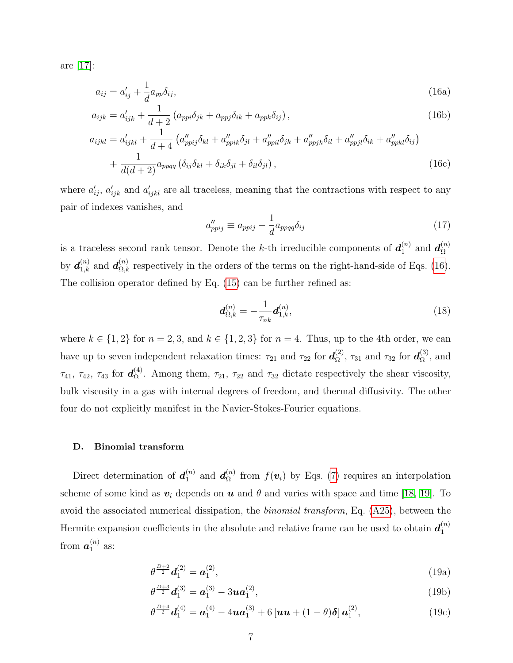are [\[17\]](#page-16-13):

<span id="page-6-0"></span>
$$
a_{ij} = a'_{ij} + \frac{1}{d} a_{pp} \delta_{ij},\tag{16a}
$$

$$
a_{ijk} = a'_{ijk} + \frac{1}{d+2} \left( a_{ppi} \delta_{jk} + a_{ppj} \delta_{ik} + a_{ppk} \delta_{ij} \right), \qquad (16b)
$$

$$
a_{ijkl} = a'_{ijkl} + \frac{1}{d+4} \left( a''_{ppij} \delta_{kl} + a''_{ppik} \delta_{jl} + a''_{ppil} \delta_{jk} + a''_{ppjk} \delta_{il} + a''_{ppjl} \delta_{ik} + a''_{ppkl} \delta_{ij} \right) + \frac{1}{d(d+2)} a_{ppqq} \left( \delta_{ij} \delta_{kl} + \delta_{ik} \delta_{jl} + \delta_{il} \delta_{jl} \right),
$$
(16c)

where  $a'_{ij}$ ,  $a'_{ijk}$  and  $a'_{ijkl}$  are all traceless, meaning that the contractions with respect to any pair of indexes vanishes, and

$$
a_{ppij}'' \equiv a_{ppij} - \frac{1}{d} a_{ppqq} \delta_{ij} \tag{17}
$$

is a traceless second rank tensor. Denote the k-th irreducible components of  $d_1^{(n)}$  $\bm{d}_{\Omega}^{(n)}$  and  $\bm{d}_{\Omega}^{(n)}$ Ω by  $\mathbf{d}_{1,k}^{(n)}$  and  $\mathbf{d}_{\Omega,k}^{(n)}$  respectively in the orders of the terms on the right-hand-side of Eqs. [\(16\)](#page-6-0). The collision operator defined by Eq. [\(15\)](#page-5-0) can be further refined as:

<span id="page-6-2"></span>
$$
\boldsymbol{d}_{\Omega,k}^{(n)} = -\frac{1}{\tau_{nk}} \boldsymbol{d}_{1,k}^{(n)},\tag{18}
$$

where  $k \in \{1, 2\}$  for  $n = 2, 3$ , and  $k \in \{1, 2, 3\}$  for  $n = 4$ . Thus, up to the 4th order, we can have up to seven independent relaxation times:  $\tau_{21}$  and  $\tau_{22}$  for  $d_{\Omega}^{(2)}$  $\mathfrak{c}_{\Omega}^{(2)}$ ,  $\tau_{31}$  and  $\tau_{32}$  for  $\boldsymbol{d}_{\Omega}^{(3)}$  $_{\Omega}^{(3)}$ , and  $\tau_{41},~\tau_{42},~\tau_{43}~ {\rm for}~\, \bm{d}_{\Omega}^{(4)}$  $\Omega$ . Among them,  $\tau_{21}$ ,  $\tau_{22}$  and  $\tau_{32}$  dictate respectively the shear viscosity, bulk viscosity in a gas with internal degrees of freedom, and thermal diffusivity. The other four do not explicitly manifest in the Navier-Stokes-Fourier equations.

# D. Binomial transform

Direct determination of  $d_1^{(n)}$  $\bm{d}_{\Omega}^{(n)}$  and  $\bm{d}_{\Omega}^{(n)}$  $\Omega_{\Omega}^{(n)}$  from  $f(\boldsymbol{v}_i)$  by Eqs. [\(7\)](#page-3-4) requires an interpolation scheme of some kind as  $v_i$  depends on  $u$  and  $\theta$  and varies with space and time [\[18,](#page-16-14) [19\]](#page-16-15). To avoid the associated numerical dissipation, the binomial transform, Eq. [\(A25\)](#page-15-3), between the Hermite expansion coefficients in the absolute and relative frame can be used to obtain  $d_1^{(n)}$ 1 from  $\boldsymbol{a}^{(n)}_1$  $\binom{n}{1}$  as:

<span id="page-6-1"></span>
$$
\theta^{\frac{D+2}{2}}\mathbf{d}_1^{(2)} = \mathbf{a}_1^{(2)},\tag{19a}
$$

$$
\theta^{\frac{D+3}{2}}\mathbf{d}_{1}^{(3)} = \mathbf{a}_{1}^{(3)} - 3\mathbf{u}\mathbf{a}_{1}^{(2)},\tag{19b}
$$

$$
\theta^{\frac{D+4}{2}}\mathbf{d}_{1}^{(4)} = \mathbf{a}_{1}^{(4)} - 4\mathbf{u}\mathbf{a}_{1}^{(3)} + 6\left[\mathbf{u}\mathbf{u} + (1-\theta)\boldsymbol{\delta}\right]\mathbf{a}_{1}^{(2)},
$$
\n(19c)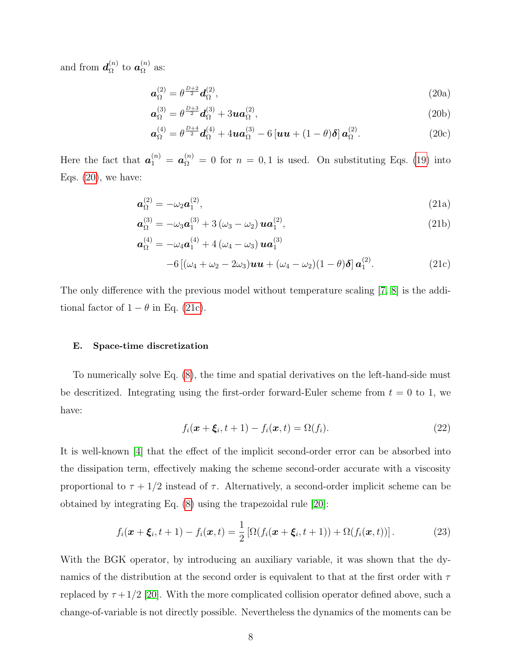and from  $\mathbf{d}_{\Omega}^{(n)}$  $\stackrel{(n)}{\Omega}$  to  $\bm{a}_{\Omega}^{(n)}$  $\frac{\Omega^{(n)}}{\Omega}$  as:

<span id="page-7-0"></span>
$$
\boldsymbol{a}_{\Omega}^{(2)} = \theta^{\frac{D+2}{2}} \boldsymbol{d}_{\Omega}^{(2)},\tag{20a}
$$

$$
\boldsymbol{a}_{\Omega}^{(3)} = \theta^{\frac{D+3}{2}} \boldsymbol{d}_{\Omega}^{(3)} + 3 \boldsymbol{u} \boldsymbol{a}_{\Omega}^{(2)},\tag{20b}
$$

$$
\boldsymbol{a}_{\Omega}^{(4)} = \theta^{\frac{D+4}{2}} \boldsymbol{d}_{\Omega}^{(4)} + 4 \boldsymbol{u} \boldsymbol{a}_{\Omega}^{(3)} - 6 \left[ \boldsymbol{u} \boldsymbol{u} + (1-\theta) \boldsymbol{\delta} \right] \boldsymbol{a}_{\Omega}^{(2)}.
$$
 (20c)

Here the fact that  $a_1^{(n)} = a_{\Omega}^{(n)} = 0$  for  $n = 0,1$  is used. On substituting Eqs. [\(19\)](#page-6-1) into Eqs.  $(20)$ , we have:

<span id="page-7-1"></span>
$$
\boldsymbol{a}_{\Omega}^{(2)} = -\omega_2 \boldsymbol{a}_1^{(2)},\tag{21a}
$$

$$
\mathbf{a}_{\Omega}^{(3)} = -\omega_3 \mathbf{a}_1^{(3)} + 3(\omega_3 - \omega_2) \mathbf{u} \mathbf{a}_1^{(2)},
$$
\n(21b)

$$
\mathbf{a}_{\Omega}^{(4)} = -\omega_4 \mathbf{a}_1^{(4)} + 4(\omega_4 - \omega_3) \mathbf{u} \mathbf{a}_1^{(3)} -6[(\omega_4 + \omega_2 - 2\omega_3) \mathbf{u} \mathbf{u} + (\omega_4 - \omega_2)(1 - \theta)\delta] \mathbf{a}_1^{(2)}.
$$
 (21c)

The only difference with the previous model without temperature scaling [\[7,](#page-16-7) [8\]](#page-16-8) is the additional factor of  $1 - \theta$  in Eq. [\(21c\)](#page-7-1).

#### E. Space-time discretization

To numerically solve Eq. [\(8\)](#page-3-5), the time and spatial derivatives on the left-hand-side must be descritized. Integrating using the first-order forward-Euler scheme from  $t = 0$  to 1, we have:

<span id="page-7-3"></span>
$$
f_i(\boldsymbol{x} + \boldsymbol{\xi}_i, t + 1) - f_i(\boldsymbol{x}, t) = \Omega(f_i). \tag{22}
$$

It is well-known [\[4\]](#page-16-0) that the effect of the implicit second-order error can be absorbed into the dissipation term, effectively making the scheme second-order accurate with a viscosity proportional to  $\tau + 1/2$  instead of  $\tau$ . Alternatively, a second-order implicit scheme can be obtained by integrating Eq. [\(8\)](#page-3-5) using the trapezoidal rule [\[20\]](#page-16-16):

<span id="page-7-2"></span>
$$
f_i(\boldsymbol{x} + \boldsymbol{\xi}_i, t+1) - f_i(\boldsymbol{x}, t) = \frac{1}{2} \left[ \Omega(f_i(\boldsymbol{x} + \boldsymbol{\xi}_i, t+1)) + \Omega(f_i(\boldsymbol{x}, t)) \right]. \tag{23}
$$

With the BGK operator, by introducing an auxiliary variable, it was shown that the dynamics of the distribution at the second order is equivalent to that at the first order with  $\tau$ replaced by  $\tau + 1/2$  [\[20\]](#page-16-16). With the more complicated collision operator defined above, such a change-of-variable is not directly possible. Nevertheless the dynamics of the moments can be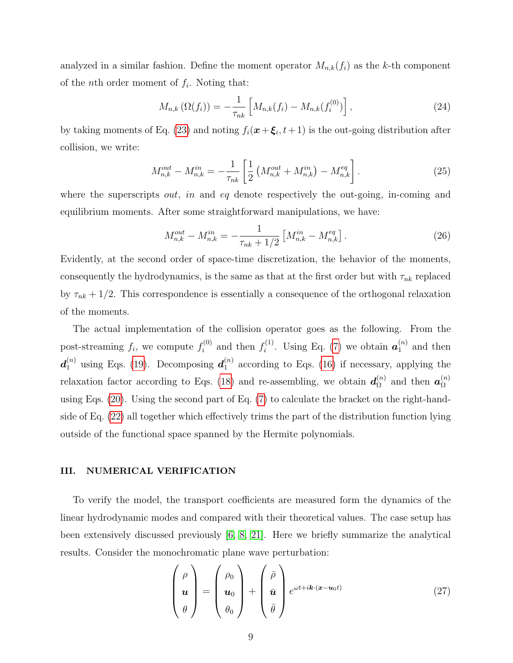analyzed in a similar fashion. Define the moment operator  $M_{n,k}(f_i)$  as the k-th component of the *n*<sup>th</sup> order moment of  $f_i$ . Noting that:

$$
M_{n,k}(\Omega(f_i)) = -\frac{1}{\tau_{nk}} \left[ M_{n,k}(f_i) - M_{n,k}(f_i^{(0)}) \right],
$$
\n(24)

by taking moments of Eq. [\(23\)](#page-7-2) and noting  $f_i(\mathbf{x} + \boldsymbol{\xi}_i, t+1)$  is the out-going distribution after collision, we write:

$$
M_{n,k}^{out} - M_{n,k}^{in} = -\frac{1}{\tau_{nk}} \left[ \frac{1}{2} \left( M_{n,k}^{out} + M_{n,k}^{in} \right) - M_{n,k}^{eq} \right]. \tag{25}
$$

where the superscripts *out, in* and *eq* denote respectively the out-going, in-coming and equilibrium moments. After some straightforward manipulations, we have:

$$
M_{n,k}^{out} - M_{n,k}^{in} = -\frac{1}{\tau_{nk} + 1/2} \left[ M_{n,k}^{in} - M_{n,k}^{eq} \right]. \tag{26}
$$

Evidently, at the second order of space-time discretization, the behavior of the moments, consequently the hydrodynamics, is the same as that at the first order but with  $\tau_{nk}$  replaced by  $\tau_{nk} + 1/2$ . This correspondence is essentially a consequence of the orthogonal relaxation of the moments.

The actual implementation of the collision operator goes as the following. From the post-streaming  $f_i$ , we compute  $f_i^{(0)}$  $f_i^{(0)}$  and then  $f_i^{(1)}$  $i^{(1)}$ . Using Eq. [\(7\)](#page-3-4) we obtain  $a_1^{(n)}$  $1^{(n)}$  and then  $\boldsymbol{d}_1^{(n)}$  using Eqs. [\(19\)](#page-6-1). Decomposing  $\boldsymbol{d}_1^{(n)}$  $_1^{(n)}$  according to Eqs. [\(16\)](#page-6-0) if necessary, applying the relaxation factor according to Eqs. [\(18\)](#page-6-2) and re-assembling, we obtain  $d_{\Omega}^{(n)}$  $\alpha_{\Omega}^{(n)}$  and then  $\boldsymbol{a}_{\Omega}^{(n)}$ Ω using Eqs. [\(20\)](#page-7-0). Using the second part of Eq. [\(7\)](#page-3-4) to calculate the bracket on the right-handside of Eq. [\(22\)](#page-7-3) all together which effectively trims the part of the distribution function lying outside of the functional space spanned by the Hermite polynomials.

#### <span id="page-8-0"></span>III. NUMERICAL VERIFICATION

To verify the model, the transport coefficients are measured form the dynamics of the linear hydrodynamic modes and compared with their theoretical values. The case setup has been extensively discussed previously [\[6,](#page-16-2) [8,](#page-16-8) [21\]](#page-16-17). Here we briefly summarize the analytical results. Consider the monochromatic plane wave perturbation:

$$
\begin{pmatrix} \rho \\ \boldsymbol{u} \\ \theta \end{pmatrix} = \begin{pmatrix} \rho_0 \\ \boldsymbol{u}_0 \\ \theta_0 \end{pmatrix} + \begin{pmatrix} \bar{\rho} \\ \bar{\boldsymbol{u}} \\ \bar{\theta} \end{pmatrix} e^{\omega t + i\boldsymbol{k} \cdot (\boldsymbol{x} - \boldsymbol{u}_0 t)} \tag{27}
$$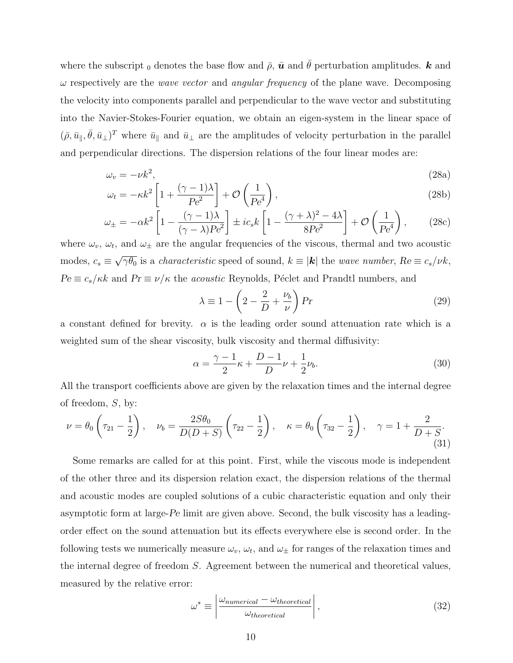where the subscript <sub>0</sub> denotes the base flow and  $\bar{\rho}$ ,  $\bar{u}$  and  $\bar{\theta}$  perturbation amplitudes. k and  $\omega$  respectively are the *wave vector* and *angular frequency* of the plane wave. Decomposing the velocity into components parallel and perpendicular to the wave vector and substituting into the Navier-Stokes-Fourier equation, we obtain an eigen-system in the linear space of  $(\bar{\rho}, \bar{u}_{\parallel}, \bar{\theta}, \bar{u}_{\perp})^T$  where  $\bar{u}_{\parallel}$  and  $\bar{u}_{\perp}$  are the amplitudes of velocity perturbation in the parallel and perpendicular directions. The dispersion relations of the four linear modes are:

$$
\omega_v = -\nu k^2, \tag{28a}
$$

$$
\omega_t = -\kappa k^2 \left[ 1 + \frac{(\gamma - 1)\lambda}{Pe^2} \right] + \mathcal{O}\left(\frac{1}{Pe^4}\right),\tag{28b}
$$

$$
\omega_{\pm} = -\alpha k^2 \left[ 1 - \frac{(\gamma - 1)\lambda}{(\gamma - \lambda)Pe^2} \right] \pm ic_s k \left[ 1 - \frac{(\gamma + \lambda)^2 - 4\lambda}{8Pe^2} \right] + \mathcal{O}\left(\frac{1}{Pe^4}\right),\tag{28c}
$$

where  $\omega_v$ ,  $\omega_t$ , and  $\omega_{\pm}$  are the angular frequencies of the viscous, thermal and two acoustic modes,  $c_s \equiv$ √  $\overline{\gamma\theta_0}$  is a *characteristic* speed of sound,  $k \equiv |\mathbf{k}|$  the *wave number*,  $Re \equiv c_s/\nu k$ ,  $Pe \equiv c_s/\kappa k$  and  $Pr \equiv \nu/\kappa$  the *acoustic* Reynolds, Péclet and Prandtl numbers, and

$$
\lambda \equiv 1 - \left(2 - \frac{2}{D} + \frac{\nu_b}{\nu}\right) Pr \tag{29}
$$

a constant defined for brevity.  $\alpha$  is the leading order sound attenuation rate which is a weighted sum of the shear viscosity, bulk viscosity and thermal diffusivity:

$$
\alpha = \frac{\gamma - 1}{2}\kappa + \frac{D - 1}{D}\nu + \frac{1}{2}\nu_b. \tag{30}
$$

All the transport coefficients above are given by the relaxation times and the internal degree of freedom, S, by:

<span id="page-9-0"></span>
$$
\nu = \theta_0 \left( \tau_{21} - \frac{1}{2} \right), \quad \nu_b = \frac{2S\theta_0}{D(D+S)} \left( \tau_{22} - \frac{1}{2} \right), \quad \kappa = \theta_0 \left( \tau_{32} - \frac{1}{2} \right), \quad \gamma = 1 + \frac{2}{D+S}.
$$
\n(31)

Some remarks are called for at this point. First, while the viscous mode is independent of the other three and its dispersion relation exact, the dispersion relations of the thermal and acoustic modes are coupled solutions of a cubic characteristic equation and only their asymptotic form at large-Pe limit are given above. Second, the bulk viscosity has a leadingorder effect on the sound attenuation but its effects everywhere else is second order. In the following tests we numerically measure  $\omega_v$ ,  $\omega_t$ , and  $\omega_{\pm}$  for ranges of the relaxation times and the internal degree of freedom S. Agreement between the numerical and theoretical values, measured by the relative error:

$$
\omega^* \equiv \left| \frac{\omega_{numerical} - \omega_{theoretical}}{\omega_{theoretical}} \right|,\tag{32}
$$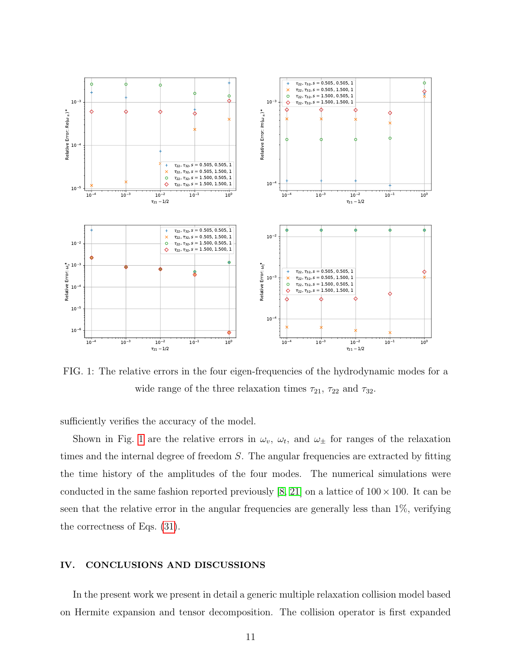<span id="page-10-1"></span>

FIG. 1: The relative errors in the four eigen-frequencies of the hydrodynamic modes for a wide range of the three relaxation times  $\tau_{21}$ ,  $\tau_{22}$  and  $\tau_{32}$ .

sufficiently verifies the accuracy of the model.

Shown in Fig. [1](#page-10-1) are the relative errors in  $\omega_v$ ,  $\omega_t$ , and  $\omega_{\pm}$  for ranges of the relaxation times and the internal degree of freedom S. The angular frequencies are extracted by fitting the time history of the amplitudes of the four modes. The numerical simulations were conducted in the same fashion reported previously [\[8,](#page-16-8) [21\]](#page-16-17) on a lattice of  $100 \times 100$ . It can be seen that the relative error in the angular frequencies are generally less than 1%, verifying the correctness of Eqs. [\(31\)](#page-9-0).

#### <span id="page-10-0"></span>IV. CONCLUSIONS AND DISCUSSIONS

In the present work we present in detail a generic multiple relaxation collision model based on Hermite expansion and tensor decomposition. The collision operator is first expanded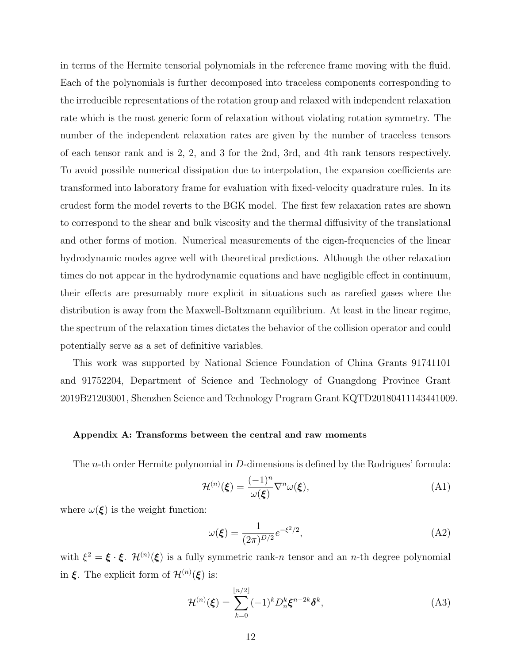in terms of the Hermite tensorial polynomials in the reference frame moving with the fluid. Each of the polynomials is further decomposed into traceless components corresponding to the irreducible representations of the rotation group and relaxed with independent relaxation rate which is the most generic form of relaxation without violating rotation symmetry. The number of the independent relaxation rates are given by the number of traceless tensors of each tensor rank and is 2, 2, and 3 for the 2nd, 3rd, and 4th rank tensors respectively. To avoid possible numerical dissipation due to interpolation, the expansion coefficients are transformed into laboratory frame for evaluation with fixed-velocity quadrature rules. In its crudest form the model reverts to the BGK model. The first few relaxation rates are shown to correspond to the shear and bulk viscosity and the thermal diffusivity of the translational and other forms of motion. Numerical measurements of the eigen-frequencies of the linear hydrodynamic modes agree well with theoretical predictions. Although the other relaxation times do not appear in the hydrodynamic equations and have negligible effect in continuum, their effects are presumably more explicit in situations such as rarefied gases where the distribution is away from the Maxwell-Boltzmann equilibrium. At least in the linear regime, the spectrum of the relaxation times dictates the behavior of the collision operator and could potentially serve as a set of definitive variables.

This work was supported by National Science Foundation of China Grants 91741101 and 91752204, Department of Science and Technology of Guangdong Province Grant 2019B21203001, Shenzhen Science and Technology Program Grant KQTD20180411143441009.

#### Appendix A: Transforms between the central and raw moments

The n-th order Hermite polynomial in D-dimensions is defined by the Rodrigues' formula:

<span id="page-11-0"></span>
$$
\mathcal{H}^{(n)}(\boldsymbol{\xi}) = \frac{(-1)^n}{\omega(\boldsymbol{\xi})} \nabla^n \omega(\boldsymbol{\xi}),\tag{A1}
$$

where  $\omega(\xi)$  is the weight function:

$$
\omega(\xi) = \frac{1}{(2\pi)^{D/2}} e^{-\xi^2/2},\tag{A2}
$$

with  $\xi^2 = \xi \cdot \xi$ .  $\mathcal{H}^{(n)}(\xi)$  is a fully symmetric rank-*n* tensor and an *n*-th degree polynomial in  $\xi$ . The explicit form of  $\mathcal{H}^{(n)}(\xi)$  is:

<span id="page-11-1"></span>
$$
\mathcal{H}^{(n)}(\boldsymbol{\xi}) = \sum_{k=0}^{\lfloor n/2 \rfloor} (-1)^k D_n^k \boldsymbol{\xi}^{n-2k} \delta^k,\tag{A3}
$$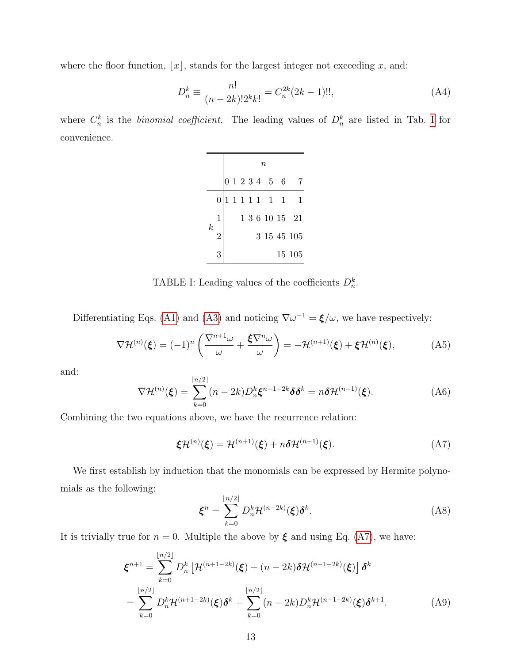where the floor function,  $\lfloor x \rfloor$ , stands for the largest integer not exceeding x, and:

$$
D_n^k \equiv \frac{n!}{(n-2k)! 2^k k!} = C_n^{2k} (2k-1)!!,\tag{A4}
$$

<span id="page-12-0"></span>where  $C_n^k$  is the *binomial coefficient*. The leading values of  $D_n^k$  are listed in Tab. [I](#page-12-0) for convenience.

|                  |                | $\it{n}$ |  |  |  |  |                 |  |                |
|------------------|----------------|----------|--|--|--|--|-----------------|--|----------------|
|                  |                |          |  |  |  |  | 0 1 2 3 4 5 6   |  |                |
| $\boldsymbol{k}$ | $\overline{0}$ |          |  |  |  |  | 1 1 1 1 1 1 1 1 |  |                |
|                  | $\mathbf 1$    |          |  |  |  |  |                 |  | 1 3 6 10 15 21 |
|                  | $\overline{2}$ |          |  |  |  |  |                 |  | 3 15 45 105    |
|                  | 3              |          |  |  |  |  |                 |  | 15 105         |

TABLE I: Leading values of the coefficients  $D_n^k$ .

Differentiating Eqs. [\(A1\)](#page-11-0) and [\(A3\)](#page-11-1) and noticing  $\nabla \omega^{-1} = \xi/\omega$ , we have respectively:

$$
\nabla \mathcal{H}^{(n)}(\boldsymbol{\xi}) = (-1)^n \left( \frac{\nabla^{n+1} \omega}{\omega} + \frac{\boldsymbol{\xi} \nabla^n \omega}{\omega} \right) = -\mathcal{H}^{(n+1)}(\boldsymbol{\xi}) + \boldsymbol{\xi} \mathcal{H}^{(n)}(\boldsymbol{\xi}), \tag{A5}
$$

and:

$$
\nabla \mathcal{H}^{(n)}(\boldsymbol{\xi}) = \sum_{k=0}^{\lfloor n/2 \rfloor} (n-2k) D_n^k \boldsymbol{\xi}^{n-1-2k} \delta \delta^k = n \delta \mathcal{H}^{(n-1)}(\boldsymbol{\xi}). \tag{A6}
$$

Combining the two equations above, we have the recurrence relation:

<span id="page-12-1"></span>
$$
\boldsymbol{\xi}\mathcal{H}^{(n)}(\boldsymbol{\xi}) = \mathcal{H}^{(n+1)}(\boldsymbol{\xi}) + n\boldsymbol{\delta}\mathcal{H}^{(n-1)}(\boldsymbol{\xi}). \tag{A7}
$$

We first establish by induction that the monomials can be expressed by Hermite polynomials as the following:

<span id="page-12-2"></span>
$$
\boldsymbol{\xi}^{n} = \sum_{k=0}^{\lfloor n/2 \rfloor} D_{n}^{k} \mathcal{H}^{(n-2k)}(\boldsymbol{\xi}) \boldsymbol{\delta}^{k}.
$$
 (A8)

It is trivially true for  $n = 0$ . Multiple the above by  $\xi$  and using Eq. [\(A7\)](#page-12-1), we have:

$$
\boldsymbol{\xi}^{n+1} = \sum_{k=0}^{\lfloor n/2 \rfloor} D_n^k \left[ \mathcal{H}^{(n+1-2k)}(\boldsymbol{\xi}) + (n-2k) \delta \mathcal{H}^{(n-1-2k)}(\boldsymbol{\xi}) \right] \delta^k
$$
  
= 
$$
\sum_{k=0}^{\lfloor n/2 \rfloor} D_n^k \mathcal{H}^{(n+1-2k)}(\boldsymbol{\xi}) \delta^k + \sum_{k=0}^{\lfloor n/2 \rfloor} (n-2k) D_n^k \mathcal{H}^{(n-1-2k)}(\boldsymbol{\xi}) \delta^{k+1}.
$$
 (A9)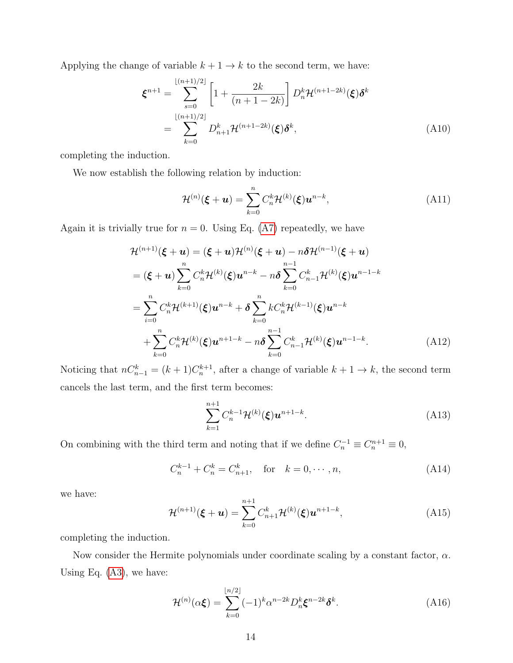Applying the change of variable  $k + 1 \rightarrow k$  to the second term, we have:

$$
\boldsymbol{\xi}^{n+1} = \sum_{s=0}^{\lfloor (n+1)/2 \rfloor} \left[ 1 + \frac{2k}{(n+1-2k)} \right] D_n^k \mathcal{H}^{(n+1-2k)}(\boldsymbol{\xi}) \delta^k \n= \sum_{k=0}^{\lfloor (n+1)/2 \rfloor} D_{n+1}^k \mathcal{H}^{(n+1-2k)}(\boldsymbol{\xi}) \delta^k,
$$
\n(A10)

completing the induction.

We now establish the following relation by induction:

<span id="page-13-0"></span>
$$
\mathcal{H}^{(n)}(\boldsymbol{\xi}+\boldsymbol{u})=\sum_{k=0}^{n}C_{n}^{k}\mathcal{H}^{(k)}(\boldsymbol{\xi})\boldsymbol{u}^{n-k},
$$
\n(A11)

Again it is trivially true for  $n = 0$ . Using Eq. [\(A7\)](#page-12-1) repeatedly, we have

$$
\mathcal{H}^{(n+1)}(\xi + \boldsymbol{u}) = (\xi + \boldsymbol{u})\mathcal{H}^{(n)}(\xi + \boldsymbol{u}) - n\delta\mathcal{H}^{(n-1)}(\xi + \boldsymbol{u})
$$
  
\n
$$
= (\xi + \boldsymbol{u})\sum_{k=0}^{n} C_{n}^{k}\mathcal{H}^{(k)}(\xi)\boldsymbol{u}^{n-k} - n\delta\sum_{k=0}^{n-1} C_{n-1}^{k}\mathcal{H}^{(k)}(\xi)\boldsymbol{u}^{n-1-k}
$$
  
\n
$$
= \sum_{i=0}^{n} C_{n}^{k}\mathcal{H}^{(k+1)}(\xi)\boldsymbol{u}^{n-k} + \delta\sum_{k=0}^{n} k C_{n}^{k}\mathcal{H}^{(k-1)}(\xi)\boldsymbol{u}^{n-k}
$$
  
\n
$$
+ \sum_{k=0}^{n} C_{n}^{k}\mathcal{H}^{(k)}(\xi)\boldsymbol{u}^{n+1-k} - n\delta\sum_{k=0}^{n-1} C_{n-1}^{k}\mathcal{H}^{(k)}(\xi)\boldsymbol{u}^{n-1-k}.
$$
 (A12)

Noticing that  $nC_{n-1}^k = (k+1)C_n^{k+1}$ , after a change of variable  $k+1 \to k$ , the second term cancels the last term, and the first term becomes:

$$
\sum_{k=1}^{n+1} C_n^{k-1} \mathcal{H}^{(k)}(\xi) \mathbf{u}^{n+1-k}.
$$
 (A13)

On combining with the third term and noting that if we define  $C_n^{-1} \equiv C_n^{n+1} \equiv 0$ ,

$$
C_n^{k-1} + C_n^k = C_{n+1}^k, \quad \text{for} \quad k = 0, \cdots, n,
$$
 (A14)

we have:

$$
\mathcal{H}^{(n+1)}(\xi + \mathbf{u}) = \sum_{k=0}^{n+1} C_{n+1}^{k} \mathcal{H}^{(k)}(\xi) \mathbf{u}^{n+1-k},
$$
\n(A15)

completing the induction.

Now consider the Hermite polynomials under coordinate scaling by a constant factor,  $\alpha$ . Using Eq.  $(A3)$ , we have:

$$
\mathcal{H}^{(n)}(\alpha \xi) = \sum_{k=0}^{\lfloor n/2 \rfloor} (-1)^k \alpha^{n-2k} D_n^k \xi^{n-2k} \delta^k.
$$
 (A16)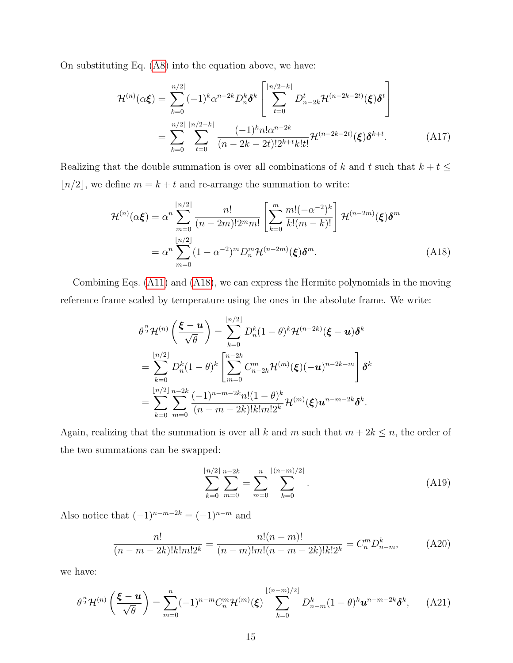On substituting Eq. [\(A8\)](#page-12-2) into the equation above, we have:

$$
\mathcal{H}^{(n)}(\alpha \xi) = \sum_{k=0}^{\lfloor n/2 \rfloor} (-1)^k \alpha^{n-2k} D_n^k \delta^k \left[ \sum_{t=0}^{\lfloor n/2 - k \rfloor} D_{n-2k}^t \mathcal{H}^{(n-2k-2t)}(\xi) \delta^t \right]
$$

$$
= \sum_{k=0}^{\lfloor n/2 \rfloor} \sum_{t=0}^{\lfloor n/2 \rfloor} \frac{(-1)^k n! \alpha^{n-2k}}{(n-2k-2t)! 2^{k+t} k! t!} \mathcal{H}^{(n-2k-2t)}(\xi) \delta^{k+t}.
$$
(A17)

Realizing that the double summation is over all combinations of  $k$  and  $t$  such that  $k + t \leq$  $\lfloor n/2 \rfloor,$  we define  $m = k + t$  and re-arrange the summation to write:

<span id="page-14-0"></span>
$$
\mathcal{H}^{(n)}(\alpha \xi) = \alpha^n \sum_{m=0}^{\lfloor n/2 \rfloor} \frac{n!}{(n-2m)! 2^m m!} \left[ \sum_{k=0}^m \frac{m! (-\alpha^{-2})^k}{k! (m-k)!} \right] \mathcal{H}^{(n-2m)}(\xi) \delta^m
$$

$$
= \alpha^n \sum_{m=0}^{\lfloor n/2 \rfloor} (1 - \alpha^{-2})^m D_n^m \mathcal{H}^{(n-2m)}(\xi) \delta^m.
$$
(A18)

Combining Eqs. [\(A11\)](#page-13-0) and [\(A18\)](#page-14-0), we can express the Hermite polynomials in the moving reference frame scaled by temperature using the ones in the absolute frame. We write:

$$
\theta^{\frac{n}{2}} \mathcal{H}^{(n)}\left(\frac{\boldsymbol{\xi}-\boldsymbol{u}}{\sqrt{\theta}}\right) = \sum_{k=0}^{\lfloor n/2 \rfloor} D_n^k (1-\theta)^k \mathcal{H}^{(n-2k)}(\boldsymbol{\xi}-\boldsymbol{u}) \delta^k
$$
  
= 
$$
\sum_{k=0}^{\lfloor n/2 \rfloor} D_n^k (1-\theta)^k \left[ \sum_{m=0}^{n-2k} C_{n-2k}^m \mathcal{H}^{(m)}(\boldsymbol{\xi}) (-\boldsymbol{u})^{n-2k-m} \right] \delta^k
$$
  
= 
$$
\sum_{k=0}^{\lfloor n/2 \rfloor} \sum_{m=0}^{n-2k} \frac{(-1)^{n-m-2k} n! (1-\theta)^k}{(n-m-2k)! k! m! 2^k} \mathcal{H}^{(m)}(\boldsymbol{\xi}) \boldsymbol{u}^{n-m-2k} \delta^k.
$$

Again, realizing that the summation is over all k and m such that  $m + 2k \le n$ , the order of the two summations can be swapped:

$$
\sum_{k=0}^{\lfloor n/2 \rfloor} \sum_{m=0}^{n-2k} = \sum_{m=0}^{n} \sum_{k=0}^{\lfloor (n-m)/2 \rfloor} . \tag{A19}
$$

Also notice that  $(-1)^{n-m-2k} = (-1)^{n-m}$  and

$$
\frac{n!}{(n-m-2k)!k!m!2^k} = \frac{n!(n-m)!}{(n-m)!m!(n-m-2k)!k!2^k} = C_n^m D_{n-m}^k,\tag{A20}
$$

we have:

$$
\theta^{\frac{n}{2}} \mathcal{H}^{(n)}\left(\frac{\boldsymbol{\xi} - \boldsymbol{u}}{\sqrt{\theta}}\right) = \sum_{m=0}^{n} (-1)^{n-m} C_n^m \mathcal{H}^{(m)}(\boldsymbol{\xi}) \sum_{k=0}^{\lfloor (n-m)/2 \rfloor} D_{n-m}^k (1-\theta)^k \boldsymbol{u}^{n-m-2k} \delta^k, \quad \text{(A21)}
$$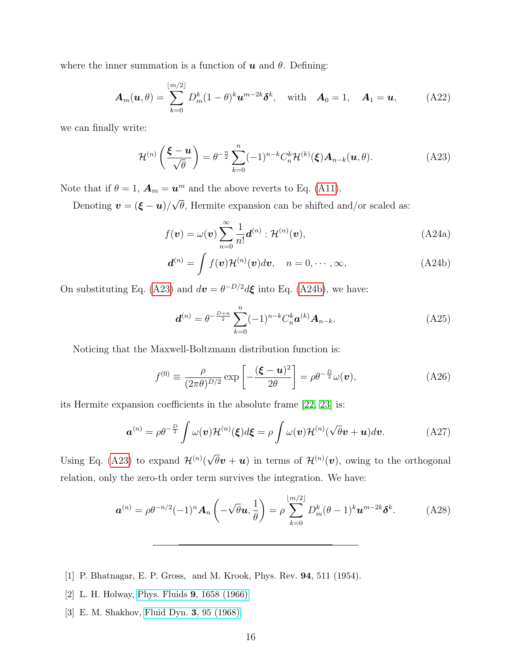where the inner summation is a function of  $u$  and  $\theta$ . Defining:

$$
\boldsymbol{A}_m(\boldsymbol{u},\theta) = \sum_{k=0}^{\lfloor m/2 \rfloor} D_m^k (1-\theta)^k \boldsymbol{u}^{m-2k} \boldsymbol{\delta}^k, \quad \text{with} \quad \boldsymbol{A}_0 = 1, \quad \boldsymbol{A}_1 = \boldsymbol{u}, \tag{A22}
$$

we can finally write:

<span id="page-15-4"></span>
$$
\mathcal{H}^{(n)}\left(\frac{\boldsymbol{\xi}-\boldsymbol{u}}{\sqrt{\theta}}\right)=\theta^{-\frac{n}{2}}\sum_{k=0}^{n}(-1)^{n-k}C_{n}^{k}\mathcal{H}^{(k)}(\boldsymbol{\xi})\boldsymbol{A}_{n-k}(\boldsymbol{u},\theta).
$$
 (A23)

Note that if  $\theta = 1$ ,  $\mathbf{A}_m = \mathbf{u}^m$  and the above reverts to Eq. [\(A11\)](#page-13-0).

Denoting  $\mathbf{v} = (\boldsymbol{\xi} - \boldsymbol{u})/$ √  $\theta$ , Hermite expansion can be shifted and/or scaled as:

<span id="page-15-5"></span>
$$
f(\boldsymbol{v}) = \omega(\boldsymbol{v}) \sum_{n=0}^{\infty} \frac{1}{n!} \boldsymbol{d}^{(n)} : \mathcal{H}^{(n)}(\boldsymbol{v}),
$$
 (A24a)

$$
\boldsymbol{d}^{(n)} = \int f(\boldsymbol{v}) \mathcal{H}^{(n)}(\boldsymbol{v}) d\boldsymbol{v}, \quad n = 0, \cdots, \infty,
$$
 (A24b)

On substituting Eq. [\(A23\)](#page-15-4) and  $d\mathbf{v} = \theta^{-D/2} d\mathbf{\xi}$  into Eq. [\(A24b\)](#page-15-5), we have:

<span id="page-15-3"></span>
$$
\boldsymbol{d}^{(n)} = \theta^{-\frac{D+n}{2}} \sum_{k=0}^{n} (-1)^{n-k} C_n^k \boldsymbol{a}^{(k)} \boldsymbol{A}_{n-k}.
$$
 (A25)

Noticing that the Maxwell-Boltzmann distribution function is:

$$
f^{(0)} \equiv \frac{\rho}{(2\pi\theta)^{D/2}} \exp\left[-\frac{(\boldsymbol{\xi} - \boldsymbol{u})^2}{2\theta}\right] = \rho \theta^{-\frac{D}{2}} \omega(\boldsymbol{v}), \tag{A26}
$$

its Hermite expansion coefficients in the absolute frame [\[22,](#page-16-18) [23\]](#page-16-19) is:

$$
\mathbf{a}^{(n)} = \rho \theta^{-\frac{D}{2}} \int \omega(\mathbf{v}) \mathcal{H}^{(n)}(\xi) d\xi = \rho \int \omega(\mathbf{v}) \mathcal{H}^{(n)}(\sqrt{\theta}\mathbf{v} + \mathbf{u}) d\mathbf{v}.
$$
 (A27)

Using Eq. [\(A23\)](#page-15-4) to expand  $\mathcal{H}^{(n)}$ (  $\overline{\theta}$ **v** + **u**) in terms of  $\mathcal{H}^{(n)}(v)$ , owing to the orthogonal relation, only the zero-th order term survives the integration. We have:

$$
\boldsymbol{a}^{(n)} = \rho \theta^{-n/2} (-1)^n \boldsymbol{A}_n \left( -\sqrt{\theta} \boldsymbol{u}, \frac{1}{\theta} \right) = \rho \sum_{k=0}^{\lfloor m/2 \rfloor} D_m^k (\theta - 1)^k \boldsymbol{u}^{m-2k} \boldsymbol{\delta}^k.
$$
 (A28)

- <span id="page-15-1"></span><span id="page-15-0"></span>[1] P. Bhatnagar, E. P. Gross, and M. Krook, Phys. Rev. 94, 511 (1954).
- <span id="page-15-2"></span>[2] L. H. Holway, Phys. Fluids 9[, 1658 \(1966\).](https://doi.org/10.1063/1.1761920)
- [3] E. M. Shakhov, [Fluid Dyn.](https://doi.org/10.1007/BF01029546) 3, 95 (1968).